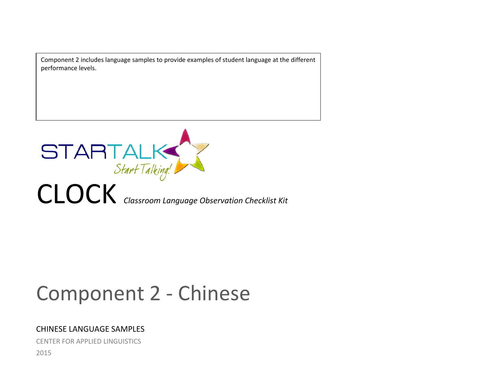Component 2 includes language samples to provide examples of student language at the different performance levels.



# Component 2 - Chinese

# CHINESE LANGUAGE SAMPLES

CENTER FOR APPLIED LINGUISTICS 2015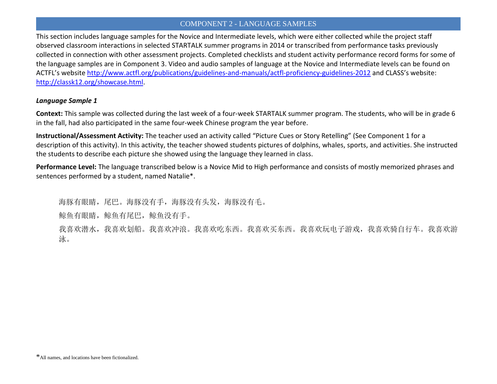This section includes language samples for the Novice and Intermediate levels, which were either collected while the project staff observed classroom interactions in selected STARTALK summer programs in 2014 or transcribed from performance tasks previously collected in connection with other assessment projects. Completed checklists and student activity performance record forms for some of the language samples are in Component 3. Video and audio samples of language at the Novice and Intermediate levels can be found on ACTFL's website<http://www.actfl.org/publications/guidelines-and-manuals/actfl-proficiency-guidelines-2012> and CLASS's website: [http://classk12.org/showcase.html.](http://classk12.org/showcase.html)

## *Language Sample 1*

**Context:** This sample was collected during the last week of a four-week STARTALK summer program. The students, who will be in grade 6 in the fall, had also participated in the same four-week Chinese program the year before.

**Instructional/Assessment Activity:** The teacher used an activity called "Picture Cues or Story Retelling" (See Component 1 for a description of this activity). In this activity, the teacher showed students pictures of dolphins, whales, sports, and activities. She instructed the students to describe each picture she showed using the language they learned in class.

**Performance Level:** The language transcribed below is a Novice Mid to High performance and consists of mostly memorized phrases and sentences performed by a student, named Natalie\*.

海豚有眼睛,尾巴。海豚没有手,海豚没有头发,海豚没有毛。

鲸鱼有眼睛,鲸鱼有尾巴,鲸鱼没有手。

我喜欢潜水,我喜欢划船。我喜欢冲浪。我喜欢吃东西。我喜欢买东西。我喜欢玩电子游戏,我喜欢骑自行车。我喜欢游 泳。

<sup>\*</sup>All names, and locations have been fictionalized.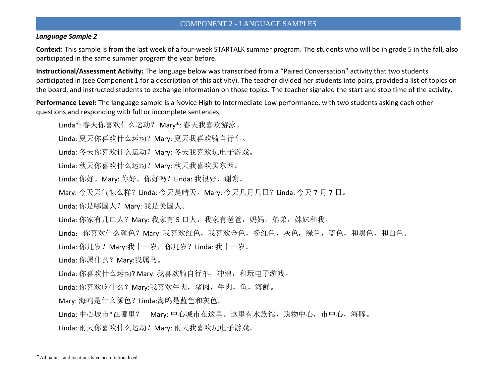#### *Language Sample 2*

**Context:** This sample is from the last week of a four-week STARTALK summer program. The students who will be in grade 5 in the fall, also participated in the same summer program the year before.

**Instructional/Assessment Activity:** The language below was transcribed from a "Paired Conversation" activity that two students participated in (see Component 1 for a description of this activity). The teacher divided her students into pairs, provided a list of topics on the board, and instructed students to exchange information on those topics. The teacher signaled the start and stop time of the activity.

**Performance Level:** The language sample is a Novice High to Intermediate Low performance, with two students asking each other questions and responding with full or incomplete sentences.

Linda\*: 春天你喜欢什么运动? Mary\*: 春天我喜欢游泳。

Linda: 夏天你喜欢什么运动? Mary: 夏天我喜欢骑自行车。

Linda: 冬天你喜欢什么运动? Mary: 冬天我喜欢玩电子游戏。

Linda: 秋天你喜欢什么运动? Mary: 秋天我喜欢买东西。

Linda: 你好。Mary: 你好。你好吗? Linda: 我很好, 谢谢。

Mary: 今天天气怎么样? Linda: 今天是晴天。Mary: 今天几月几日? Linda: 今天 7 月 7 日。

Linda: 你是哪国人? Mary: 我是美国人。

Linda: 你家有几口人? Mary: 我家有 5 口人, 我家有爸爸, 妈妈, 弟弟, 妹妹和我。

Linda: 你喜欢什么颜色? Mary: 我喜欢红色, 我喜欢金色, 粉红色, 灰色, 绿色, 蓝色, 和黑色, 和白色。

Linda: 你几岁? Mary:我十一岁, 你几岁? Linda: 我十一岁。

Linda: 你属什么? Mary:我属马。

Linda: 你喜欢什么运动? Mary: 我喜欢骑自行车, 冲浪, 和玩电子游戏。

Linda: 你喜欢吃什么? Mary:我喜欢牛肉, 猪肉, 牛肉, 鱼, 海鲜。

Mary: 海鸥是什么颜色?Linda:海鸥是蓝色和灰色。

Linda: 中心城市\*在哪里? Mary: 中心城市在这里。这里有水族馆, 购物中心, 市中心, 海豚。

Linda: 雨天你喜欢什么运动? Mary: 雨天我喜欢玩电子游戏。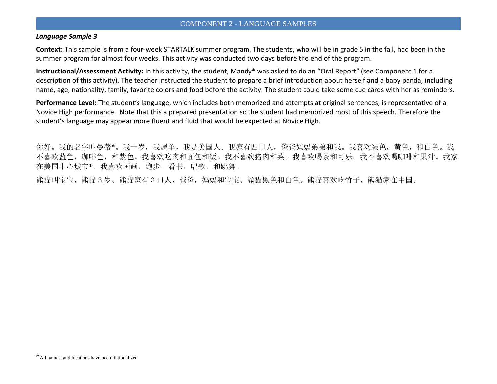#### *Language Sample 3*

**Context:** This sample is from a four-week STARTALK summer program. The students, who will be in grade 5 in the fall, had been in the summer program for almost four weeks. This activity was conducted two days before the end of the program.

**Instructional/Assessment Activity:** In this activity, the student, Mandy\* was asked to do an "Oral Report" (see Component 1 for a description of this activity). The teacher instructed the student to prepare a brief introduction about herself and a baby panda, including name, age, nationality, family, favorite colors and food before the activity. The student could take some cue cards with her as reminders.

**Performance Level:** The student's language, which includes both memorized and attempts at original sentences, is representative of a Novice High performance. Note that this a prepared presentation so the student had memorized most of this speech. Therefore the student's language may appear more fluent and fluid that would be expected at Novice High.

你好。我的名字叫曼蒂\*。我十岁,我属羊,我是美国人。我家有四口人,爸爸妈妈弟弟和我。我喜欢绿色,黄色,和白色。我 不喜欢蓝色,咖啡色,和紫色。我喜欢吃肉和面包和饭。我不喜欢猪肉和菜。我喜欢喝茶和可乐。我不喜欢喝咖啡和果汁。我家 在美国中心城市\*,我喜欢画画,跑步,看书,唱歌,和跳舞。

熊猫叫宝宝,熊猫3岁。熊猫家有3口人,爸爸,妈妈和宝宝。熊猫黑色和白色。熊猫喜欢吃竹子,熊猫家在中国。

<sup>\*</sup>All names, and locations have been fictionalized.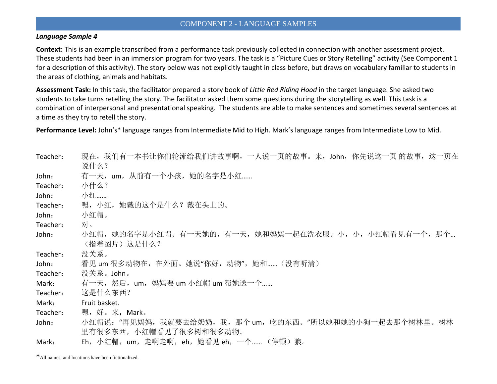#### *Language Sample 4*

**Context:** This is an example transcribed from a performance task previously collected in connection with another assessment project. These students had been in an immersion program for two years. The task is a "Picture Cues or Story Retelling" activity (See Component 1 for a description of this activity). The story below was not explicitly taught in class before, but draws on vocabulary familiar to students in the areas of clothing, animals and habitats.

**Assessment Task:** In this task, the facilitator prepared a story book of *Little Red Riding Hood* in the target language. She asked two students to take turns retelling the story. The facilitator asked them some questions during the storytelling as well. This task is a combination of interpersonal and presentational speaking. The students are able to make sentences and sometimes several sentences at a time as they try to retell the story.

**Performance Level:** John's\* language ranges from Intermediate Mid to High. Mark's language ranges from Intermediate Low to Mid.

| Teacher: | 现在,我们有一本书让你们轮流给我们讲故事啊,一人说一页的故事。来,John,你先说这一页 的故事,这一页在            |
|----------|------------------------------------------------------------------|
|          | 说什么?                                                             |
| John:    | 有一天,um,从前有一个小孩,她的名字是小红                                           |
| Teacher: | 小什么?                                                             |
| John:    | 小红……                                                             |
| Teacher: | 嗯,小红,她戴的这个是什么? 戴在头上的。                                            |
| John:    | 小红帽。                                                             |
| Teacher: | 对。                                                               |
| John:    | 小红帽,她的名字是小红帽。有一天她的,有一天,她和妈妈一起在洗衣服。小,小,小红帽看见有一个,那个<br>(指着图片)这是什么? |
| Teacher: | 没关系。                                                             |
| John:    | 看见 um 很多动物在,在外面。她说"你好,动物",她和(没有听清)                               |
| Teacher: | 没关系。John。                                                        |
| Mark:    | 有一天, 然后, um, 妈妈要 um 小红帽 um 帮她送一个                                 |
| Teacher: | 这是什么东西?                                                          |
| Mark:    | Fruit basket.                                                    |
| Teacher: | 嗯,好。来 <b>,</b> Mark。                                             |
| John:    | 小红帽说: "再见妈妈,我就要去给奶奶,我,那个 um,吃的东西。"所以她和她的小狗一起去那个树林里。树林            |
|          | 里有很多东西,小红帽看见了很多树和很多动物。                                           |
| Mark:    | Eh,小红帽,um,走啊走啊,eh,她看见 eh,一个(停顿)狼。                                |

\*All names, and locations have been fictionalized.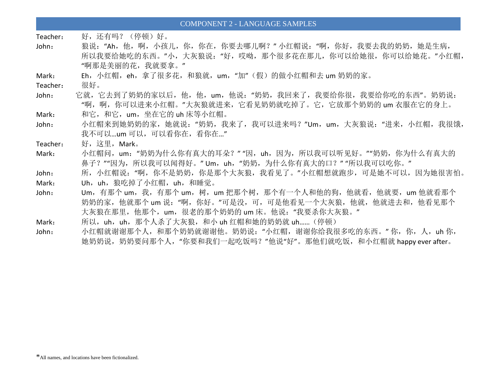Teacher: 好,还有吗? (停顿)好。

John: 狼说:"Ah,他,啊,小孩儿,你,你在,你要去哪儿啊?"小红帽说:"啊,你好,我要去我的奶奶,她是生病, 所以我要给她吃的东西。"小,大灰狼说:"好,哎呦,那个很多花在那儿,你可以给她很,你可以给她花。"小红帽, "啊那是美丽的花,我就要拿。"

Mark: Fh, 小红帽, eh, 拿了很多花, 和狼就, um, "加"(假) 的做小红帽和去 um 奶奶的家。

Teacher: 很好。

John: 它就,它去到了奶奶的家以后,他,他,um,他说:"奶奶,我回来了,我要给你很,我要给你吃的东西"。奶奶说: "啊,啊,你可以进来小红帽。"大灰狼就进来,它看见奶奶就吃掉了。它,它放那个奶奶的 um 衣服在它的身上。

Mark: 和它,和它,um,坐在它的 uh 床等小红帽。

- John: 小红帽来到她奶奶的家,她就说:"奶奶,我来了,我可以进来吗?"Um,um,大灰狼说:"进来,小红帽,我很饿, 我不可以…um 可以,可以看你在, 看你在…"
- Teacher: 好,这里,Mark。
- Mark: 小红帽问, um: "奶奶为什么你有真大的耳朵?" "因, uh, 因为, 所以我可以听见好。""奶奶, 你为什么有真大的 鼻子?""因为,所以我可以闻得好。"Um,uh,"奶奶,为什么你有真大的口?""所以我可以吃你。"
- John: 所,小红帽说: "啊, 你不是奶奶, 你是那个大灰狼, 我看见了。"小红帽想就跑步, 可是她不可以, 因为她很害怕。 Mark: Uh, uh, 狼吃掉了小红帽, uh, 和睡觉。
- John: Um, 有那个 um, 我, 有那个 um, 树, um 把那个树, 那个有一个人和他的狗, 他就看, 他就要, um 他就看那个 奶奶的家,他就那个 um 说: "啊, 你好。"可是没, 可, 可是他看见一个大灰狼, 他就, 他就进去和, 他看见那个 大灰狼在那里,他那个,um,很老的那个奶奶的 um 床。他说: "我要杀你大灰狼。"
- Mark: 所以,uh,uh,那个人杀了大灰狼,和小 uh 红帽和她的奶奶就 uh...... (停顿)
- John: 小红帽就谢谢那个人,和那个奶奶就谢谢他。奶奶说:"小红帽,谢谢你给我很多吃的东西。"你,你,人,uh你, 她奶奶说,奶奶要问那个人,"你要和我们一起吃饭吗?"他说"好"。那他们就吃饭,和小红帽就 happy ever after。

<sup>\*</sup>All names, and locations have been fictionalized.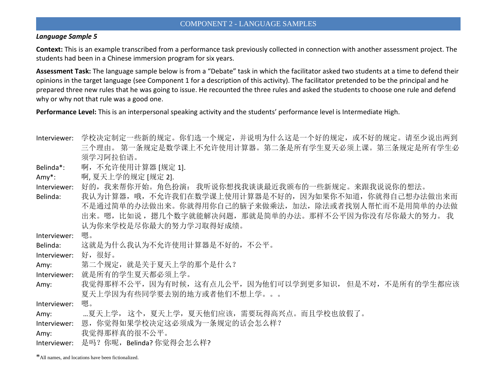#### *Language Sample 5*

**Context:** This is an example transcribed from a performance task previously collected in connection with another assessment project. The students had been in a Chinese immersion program for six years.

**Assessment Task:** The language sample below is from a "Debate" task in which the facilitator asked two students at a time to defend their opinions in the target language (see Component 1 for a description of this activity). The facilitator pretended to be the principal and he prepared three new rules that he was going to issue. He recounted the three rules and asked the students to choose one rule and defend why or why not that rule was a good one.

**Performance Level:** This is an interpersonal speaking activity and the students' performance level is Intermediate High.

- Interviewer: 学校决定制定一些新的规定。你们选一个规定,并说明为什么这是一个好的规定,或不好的规定。请至少说出两到 三个理由。 第一条规定是数学课上不允许使用计算器。第二条是所有学生夏天必须上课。第三条规定是所有学生必 须学习阿拉伯语。
- Belinda\*: 啊, 不允许使用计算器 [规定 1].
- Amy\*: 啊, 夏天上学的规定 [规定 2].
- Interviewer: 好的,我来帮你开始。角色扮演: 我听说你想找我谈谈最近我颁布的一些新规定。来跟我说说你的想法。
- Belinda: 我认为计算器,哦,不允许我们在数学课上使用计算器是不好的,因为如果你不知道,你就得自己想办法做出来而 不是通过简单的办法做出来。你就得用你自己的脑子来做乘法,加法,除法或者找别人帮忙而不是用简单的办法做 出来。嗯,比如说,摁几个数字就能解决问题,那就是简单的办法。那样不公平因为你没有尽你最大的努力。我 认为你来学校是尽你最大的努力学习取得好成绩。

Interviewer: 嗯。

Belinda: 这就是为什么我认为不允许使用计算器是不好的,不公平。

Interviewer: 好,很好。

- Amy: 第二个规定, 就是关于夏天上学的那个是什么?
- Interviewer: 就是所有的学生夏天都必须上学。
- Amy: 我觉得那样不公平,因为有时候,这有点儿公平,因为他们可以学到更多知识,但是不对,不是所有的学生都应该 夏天上学因为有些同学要去别的地方或者他们不想上学。。。

Interviewer: 嗯。

Amy: …夏天上学, 这个,夏天上学,夏天他们应该,需要玩得高兴点。而且学校也放假了。

Interviewer: 恩,你觉得如果学校决定这必须成为一条规定的话会怎么样?

Amy: 我觉得那样真的很不公平。

Interviewer: 是吗?你呢, Belinda? 你觉得会怎么样?

\*All names, and locations have been fictionalized.